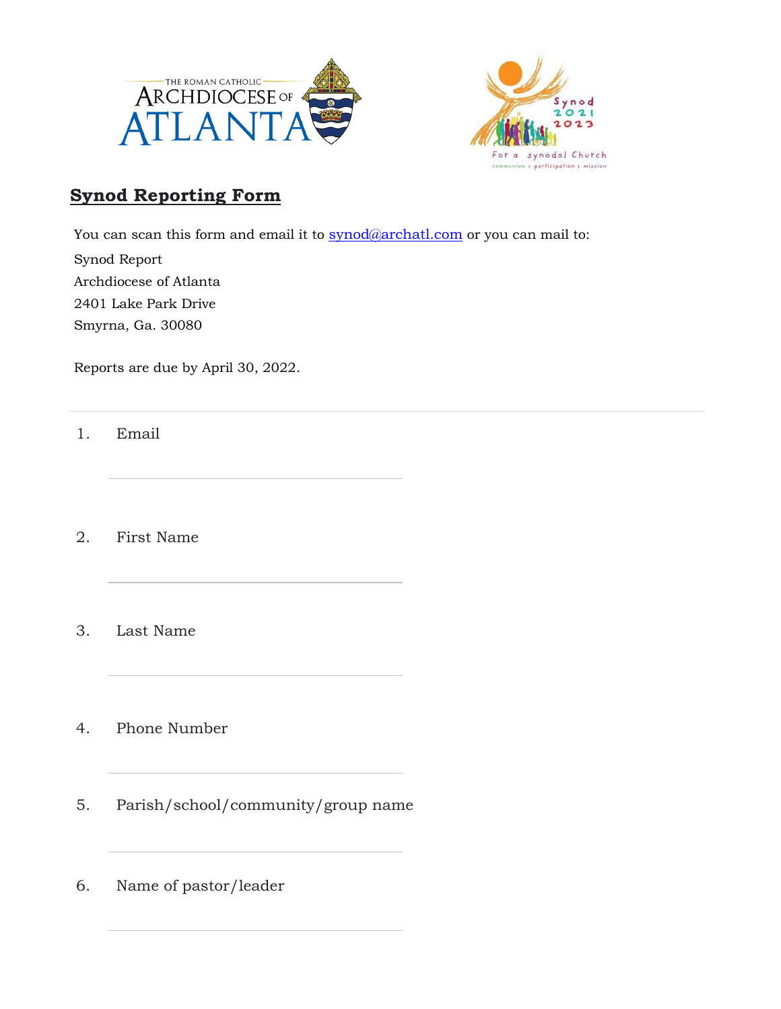



## **Synod Reporting Form**

You can scan this form and email it to **synod@archatl.com** or you can mail to:

Synod Report Archdiocese of Atlanta

2401 Lake Park Drive

Smyrna, Ga. 30080

Reports are due by April 30, 2022.

1. Email

2. First Name

- 3. Last Name
- 4. Phone Number
- 5. Parish/school/community/group name
- 6. Name of pastor/leader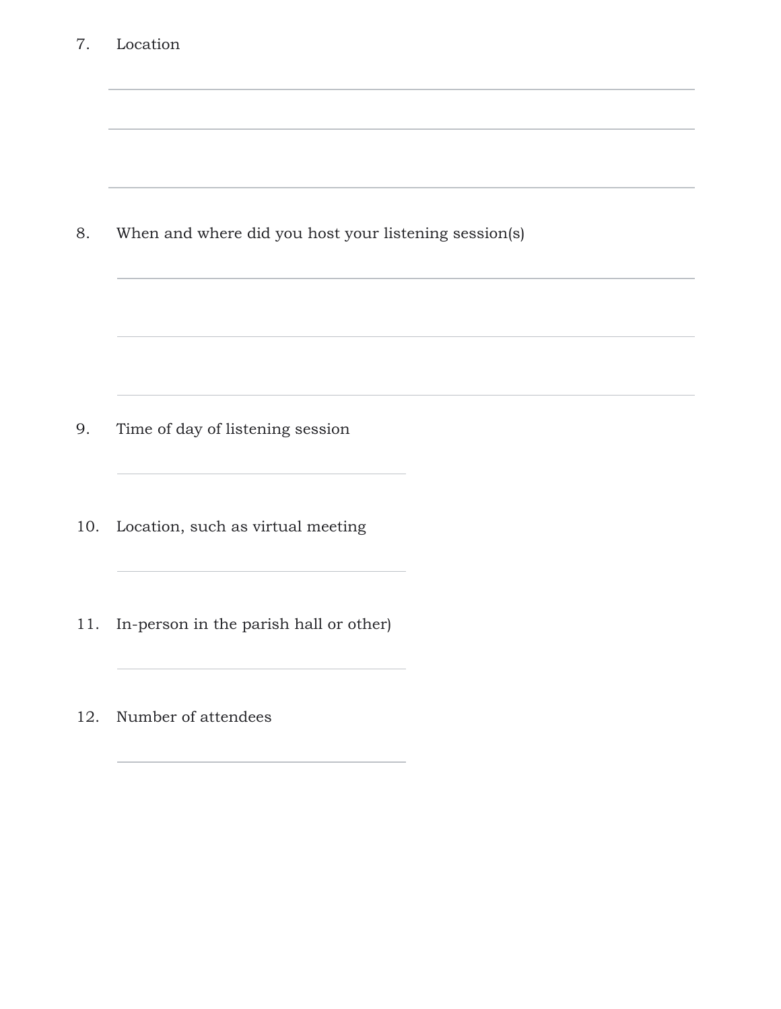| 7.  | Location                                              |  |
|-----|-------------------------------------------------------|--|
|     |                                                       |  |
| 8.  | When and where did you host your listening session(s) |  |
|     |                                                       |  |
| 9.  | Time of day of listening session                      |  |
| 10. | Location, such as virtual meeting                     |  |
| 11. | In-person in the parish hall or other)                |  |
| 12. | Number of attendees                                   |  |
|     |                                                       |  |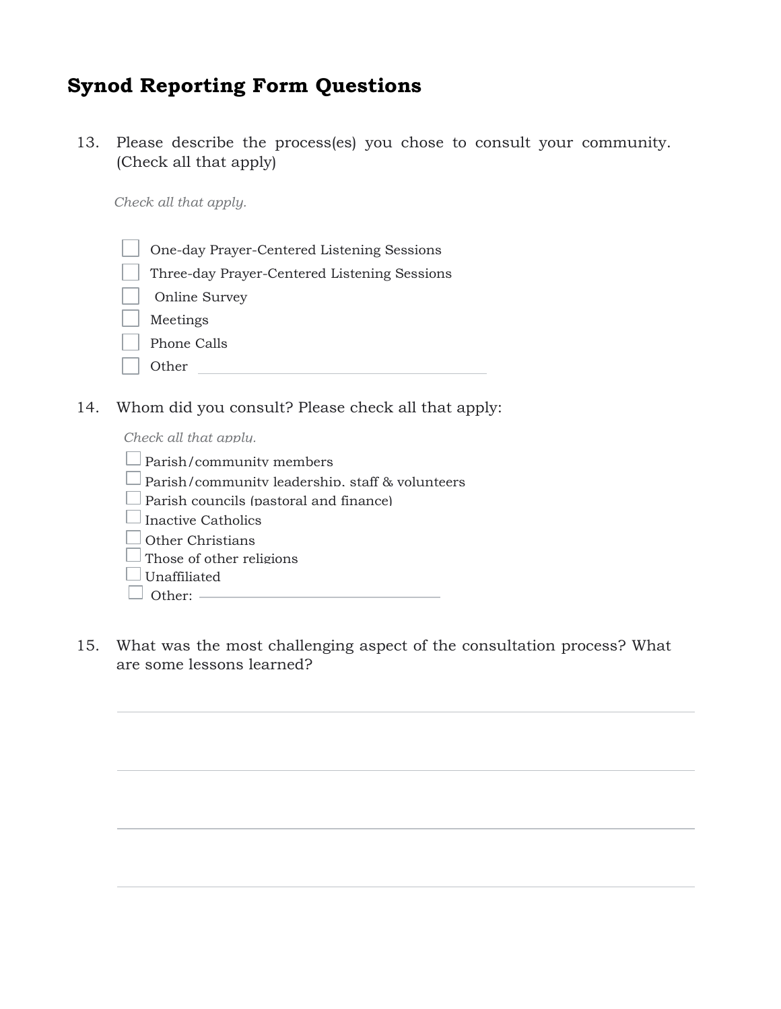## **Synod Reporting Form Questions**

13. Please describe the process(es) you chose to consult your community. (Check all that apply)

*Check all that apply.*

- One-day Prayer-Centered Listening Sessions
- Three-day Prayer-Centered Listening Sessions
- Online Survey Meetings
- Phone Calls
- Other **Communication**

14. Whom did you consult? Please check all that apply:

*Check all that apply.*

| $\Box$ Parish/community members                        |  |  |
|--------------------------------------------------------|--|--|
| $\Box$ Parish/community leadership. staff & volunteers |  |  |
| $\Box$ Parish councils (pastoral and finance)          |  |  |
| $\Box$ Inactive Catholics                              |  |  |
| $\Box$ Other Christians                                |  |  |
| $\Box$ Those of other religions                        |  |  |
| $\Box$ Unaffiliated                                    |  |  |
| $\Box$ Other: $\equiv$                                 |  |  |
|                                                        |  |  |

15. What was the most challenging aspect of the consultation process? What are some lessons learned?

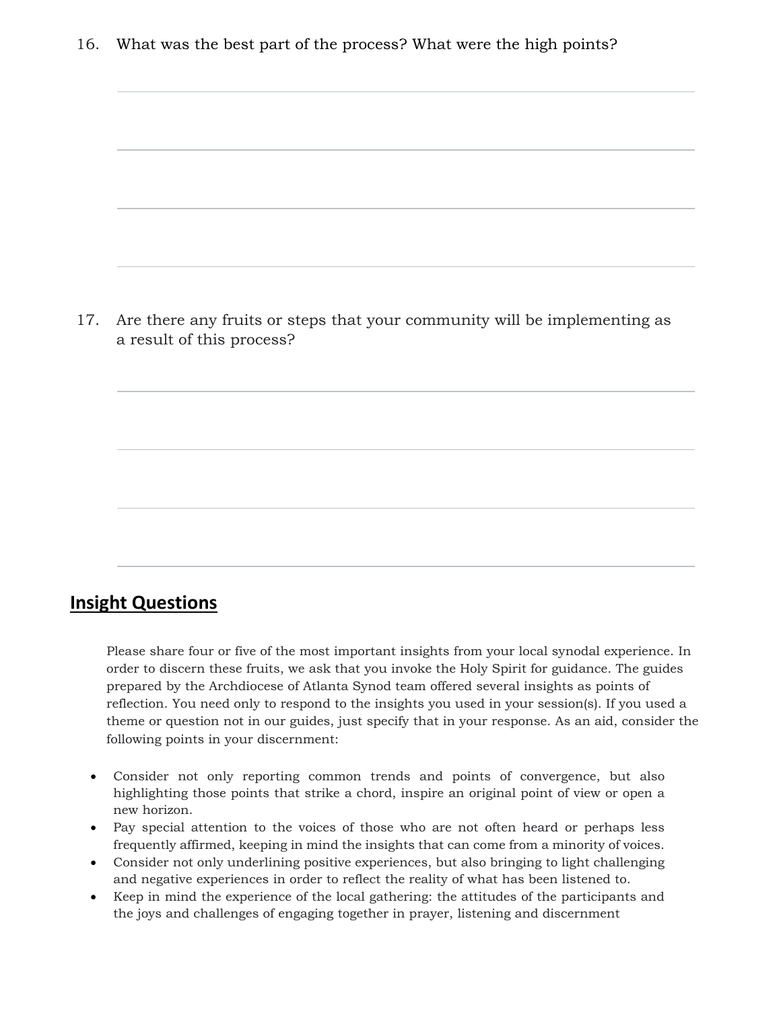16. What was the best part of the process? What were the high points?

17. Are there any fruits or steps that your community will be implementing as a result of this process?

## **Insight Questions**

Please share four or five of the most important insights from your local synodal experience. In order to discern these fruits, we ask that you invoke the Holy Spirit for guidance. The guides prepared by the Archdiocese of Atlanta Synod team offered several insights as points of reflection. You need only to respond to the insights you used in your session(s). If you used a theme or question not in our guides, just specify that in your response. As an aid, consider the following points in your discernment:

- Consider not only reporting common trends and points of convergence, but also highlighting those points that strike a chord, inspire an original point of view or open a new horizon.
- Pay special attention to the voices of those who are not often heard or perhaps less frequently affirmed, keeping in mind the insights that can come from a minority of voices.
- Consider not only underlining positive experiences, but also bringing to light challenging and negative experiences in order to reflect the reality of what has been listened to.
- Keep in mind the experience of the local gathering: the attitudes of the participants and the joys and challenges of engaging together in prayer, listening and discernment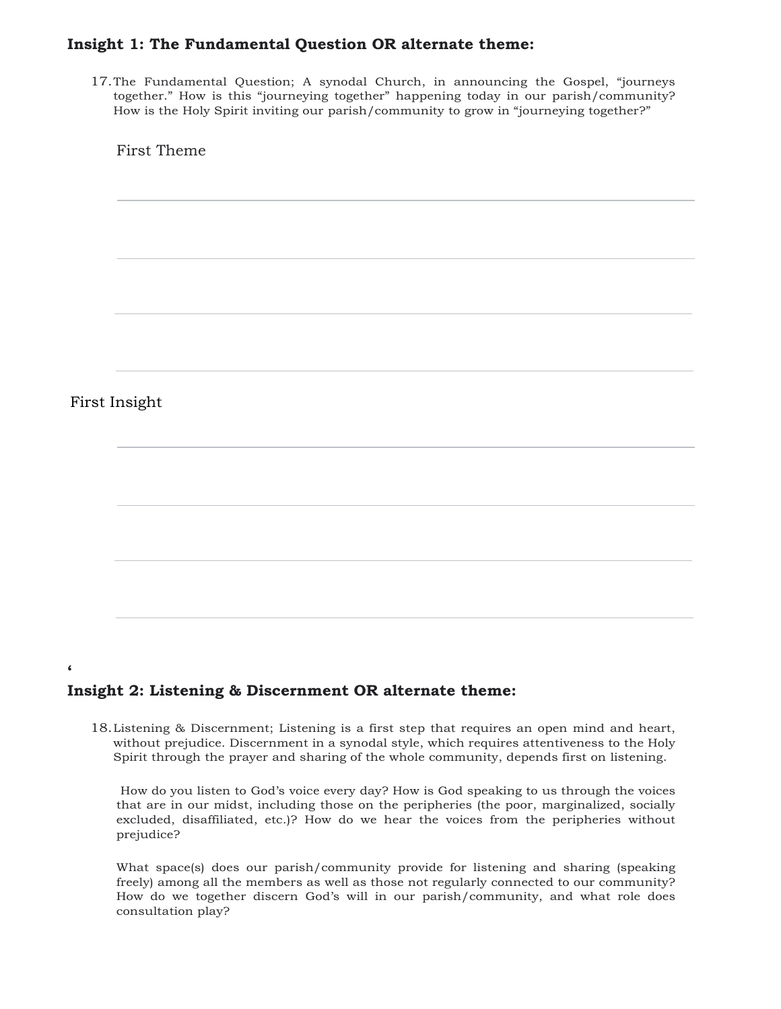#### **Insight 1: The Fundamental Question OR alternate theme:**

17.The Fundamental Question; A synodal Church, in announcing the Gospel, "journeys together." How is this "journeying together" happening today in our parish/community? How is the Holy Spirit inviting our parish/community to grow in "journeying together?"

First Theme

#### First Insight

**'**

#### **Insight 2: Listening & Discernment OR alternate theme:**

18.Listening & Discernment; Listening is a first step that requires an open mind and heart, without prejudice. Discernment in a synodal style, which requires attentiveness to the Holy Spirit through the prayer and sharing of the whole community, depends first on listening.

How do you listen to God's voice every day? How is God speaking to us through the voices that are in our midst, including those on the peripheries (the poor, marginalized, socially excluded, disaffiliated, etc.)? How do we hear the voices from the peripheries without prejudice?

What space(s) does our parish/community provide for listening and sharing (speaking freely) among all the members as well as those not regularly connected to our community? How do we together discern God's will in our parish/community, and what role does consultation play?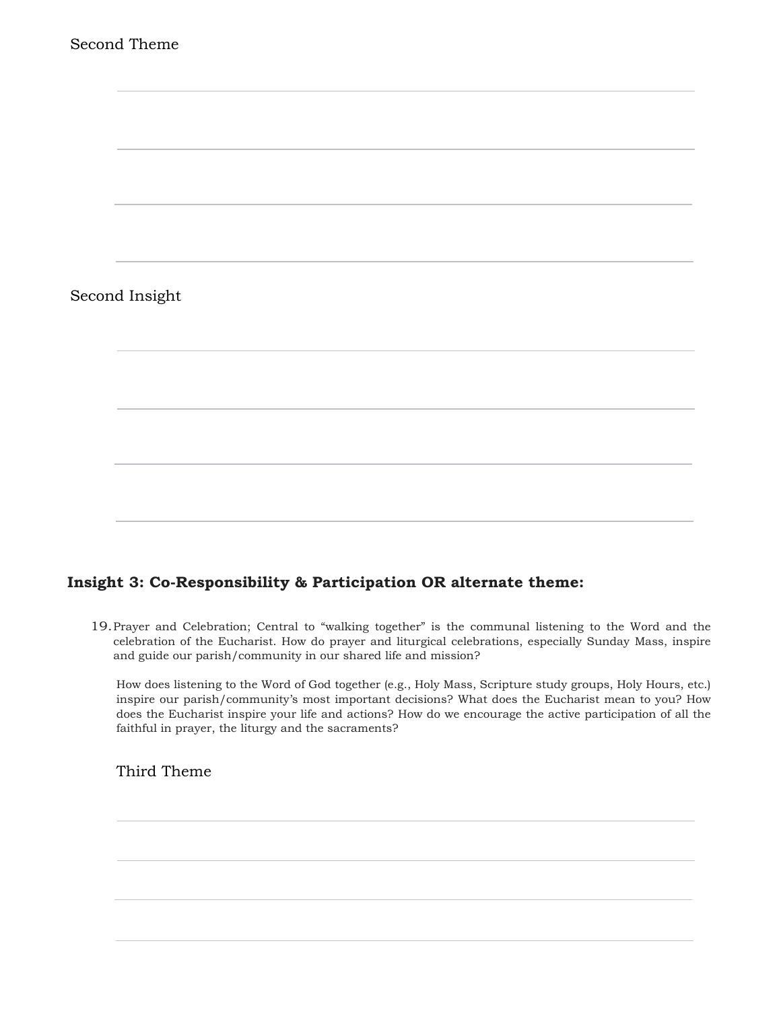

### **Insight 3: Co-Responsibility & Participation OR alternate theme:**

19.Prayer and Celebration; Central to "walking together" is the communal listening to the Word and the celebration of the Eucharist. How do prayer and liturgical celebrations, especially Sunday Mass, inspire and guide our parish/community in our shared life and mission?

How does listening to the Word of God together (e.g., Holy Mass, Scripture study groups, Holy Hours, etc.) inspire our parish/community's most important decisions? What does the Eucharist mean to you? How does the Eucharist inspire your life and actions? How do we encourage the active participation of all the faithful in prayer, the liturgy and the sacraments?

Third Theme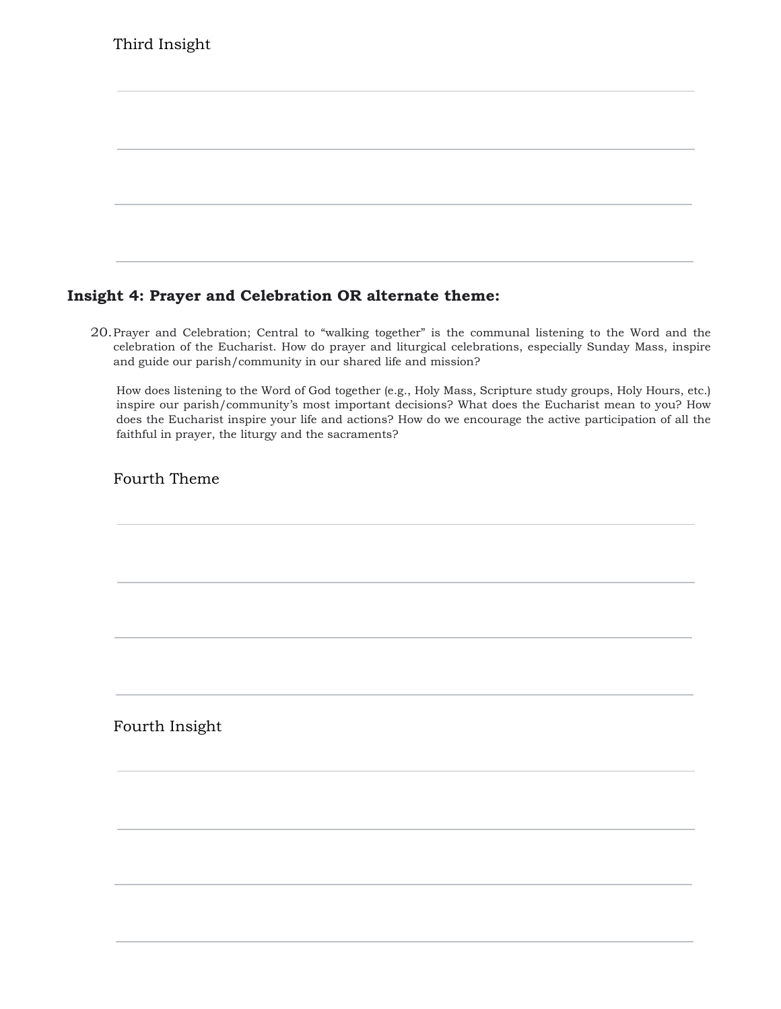|  | Third Insight |
|--|---------------|
|--|---------------|

## **Insight 4: Prayer and Celebration OR alternate theme:**

20.Prayer and Celebration; Central to "walking together" is the communal listening to the Word and the celebration of the Eucharist. How do prayer and liturgical celebrations, especially Sunday Mass, inspire and guide our parish/community in our shared life and mission?

How does listening to the Word of God together (e.g., Holy Mass, Scripture study groups, Holy Hours, etc.) inspire our parish/community's most important decisions? What does the Eucharist mean to you? How does the Eucharist inspire your life and actions? How do we encourage the active participation of all the faithful in prayer, the liturgy and the sacraments?

Fourth Theme

Fourth Insight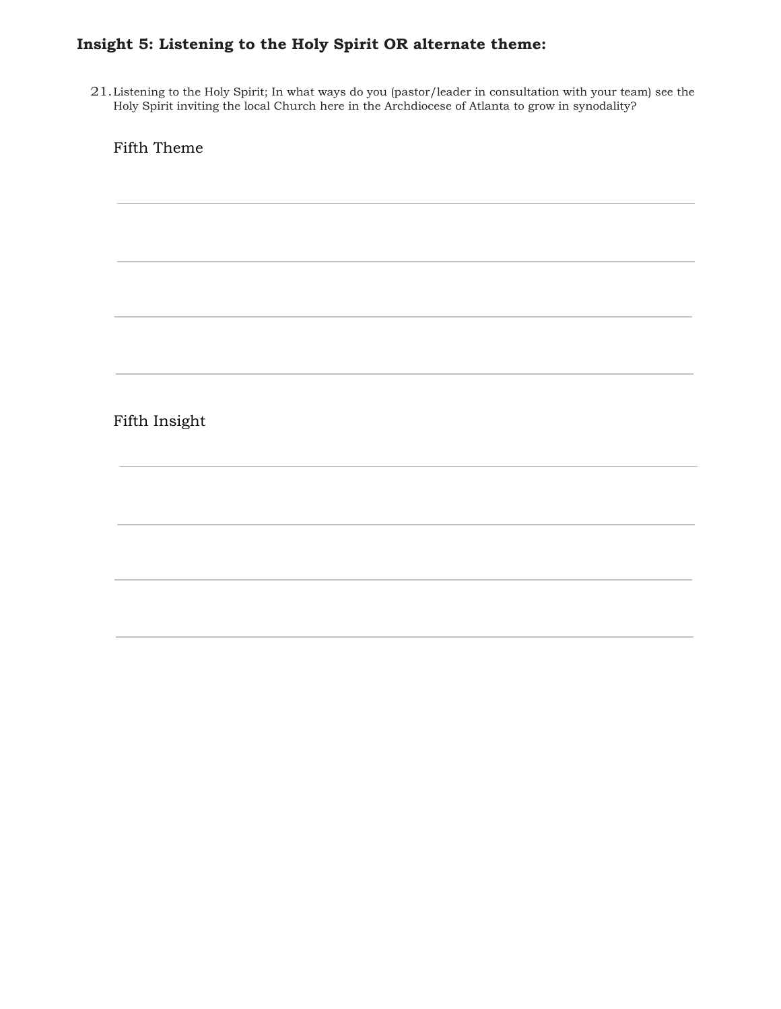## **Insight 5: Listening to the Holy Spirit OR alternate theme:**

21.Listening to the Holy Spirit; In what ways do you (pastor/leader in consultation with your team) see the Holy Spirit inviting the local Church here in the Archdiocese of Atlanta to grow in synodality?

Fifth Theme

Fifth Insight